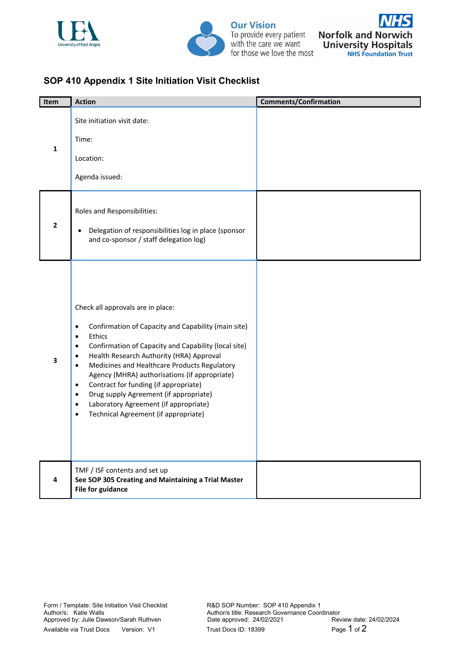



**Our Vision** To provide every patient<br>with the care we want for those we love the most



## **SOP 410 Appendix 1 Site Initiation Visit Checklist**

| Item           | <b>Action</b>                                                                                                                                                                                                                                                                                                                                                                                                                                                                                                                                                                    | <b>Comments/Confirmation</b> |
|----------------|----------------------------------------------------------------------------------------------------------------------------------------------------------------------------------------------------------------------------------------------------------------------------------------------------------------------------------------------------------------------------------------------------------------------------------------------------------------------------------------------------------------------------------------------------------------------------------|------------------------------|
| 1              | Site initiation visit date:<br>Time:<br>Location:<br>Agenda issued:                                                                                                                                                                                                                                                                                                                                                                                                                                                                                                              |                              |
| $\overline{2}$ | Roles and Responsibilities:<br>Delegation of responsibilities log in place (sponsor<br>٠<br>and co-sponsor / staff delegation log)                                                                                                                                                                                                                                                                                                                                                                                                                                               |                              |
| 3              | Check all approvals are in place:<br>Confirmation of Capacity and Capability (main site)<br>$\bullet$<br>Ethics<br>$\bullet$<br>Confirmation of Capacity and Capability (local site)<br>٠<br>Health Research Authority (HRA) Approval<br>٠<br>Medicines and Healthcare Products Regulatory<br>$\bullet$<br>Agency (MHRA) authorisations (if appropriate)<br>Contract for funding (if appropriate)<br>$\bullet$<br>Drug supply Agreement (if appropriate)<br>$\bullet$<br>Laboratory Agreement (if appropriate)<br>$\bullet$<br>Technical Agreement (if appropriate)<br>$\bullet$ |                              |
| 4              | TMF / ISF contents and set up<br>See SOP 305 Creating and Maintaining a Trial Master<br><b>File for guidance</b>                                                                                                                                                                                                                                                                                                                                                                                                                                                                 |                              |